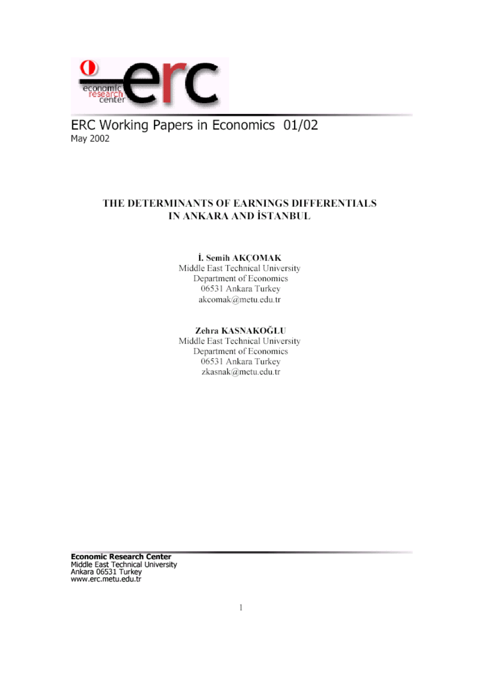

ERC Working Papers in Economics 01/02 May 2002

## THE DETERMINANTS OF EARNINGS DIFFERENTIALS IN ANKARA AND İSTANBUL

#### İ. Semih AKÇOMAK

Middle East Technical University Department of Economics 06531 Ankara Turkey akcomak@metu.edu.tr

### Zehra KASNAKOĞLU

Middle East Technical University Department of Economics 06531 Ankara Turkey zkasnak@metu.edu.tr

**Economic Research Center** Middle East Technical University<br>Ankara 06531 Turkey www.erc.metu.edu.tr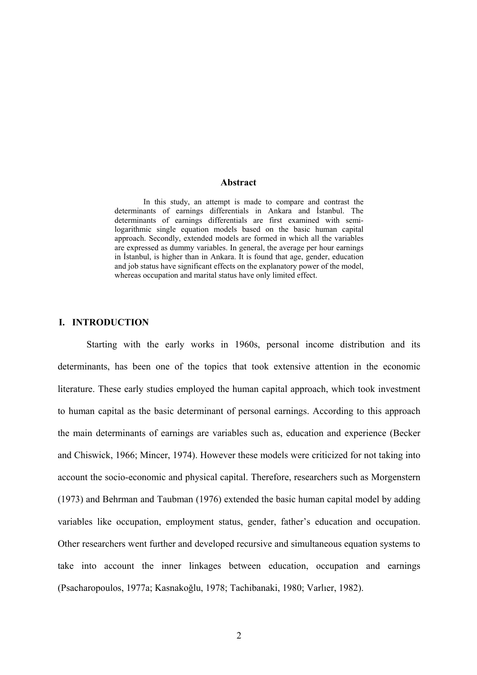#### **Abstract**

In this study, an attempt is made to compare and contrast the determinants of earnings differentials in Ankara and İstanbul. The determinants of earnings differentials are first examined with semilogarithmic single equation models based on the basic human capital approach. Secondly, extended models are formed in which all the variables are expressed as dummy variables. In general, the average per hour earnings in İstanbul, is higher than in Ankara. It is found that age, gender, education and job status have significant effects on the explanatory power of the model, whereas occupation and marital status have only limited effect.

#### **I. INTRODUCTION**

Starting with the early works in 1960s, personal income distribution and its determinants, has been one of the topics that took extensive attention in the economic literature. These early studies employed the human capital approach, which took investment to human capital as the basic determinant of personal earnings. According to this approach the main determinants of earnings are variables such as, education and experience (Becker and Chiswick, 1966; Mincer, 1974). However these models were criticized for not taking into account the socio-economic and physical capital. Therefore, researchers such as Morgenstern (1973) and Behrman and Taubman (1976) extended the basic human capital model by adding variables like occupation, employment status, gender, father's education and occupation. Other researchers went further and developed recursive and simultaneous equation systems to take into account the inner linkages between education, occupation and earnings (Psacharopoulos, 1977a; Kasnakoğlu, 1978; Tachibanaki, 1980; Varlıer, 1982).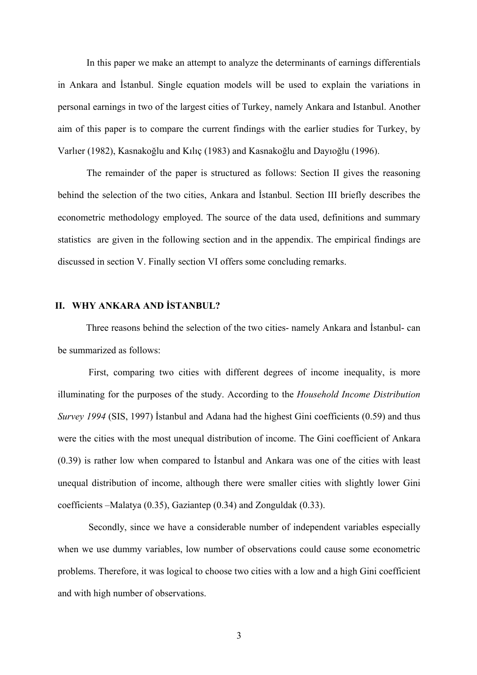In this paper we make an attempt to analyze the determinants of earnings differentials in Ankara and İstanbul. Single equation models will be used to explain the variations in personal earnings in two of the largest cities of Turkey, namely Ankara and Istanbul. Another aim of this paper is to compare the current findings with the earlier studies for Turkey, by Varlıer (1982), Kasnakoğlu and Kılıç (1983) and Kasnakoğlu and Dayıoğlu (1996).

The remainder of the paper is structured as follows: Section II gives the reasoning behind the selection of the two cities, Ankara and İstanbul. Section III briefly describes the econometric methodology employed. The source of the data used, definitions and summary statistics are given in the following section and in the appendix. The empirical findings are discussed in section V. Finally section VI offers some concluding remarks.

#### **II. WHY ANKARA AND İSTANBUL?**

Three reasons behind the selection of the two cities- namely Ankara and İstanbul- can be summarized as follows:

First, comparing two cities with different degrees of income inequality, is more illuminating for the purposes of the study. According to the *Household Income Distribution Survey 1994* (SIS, 1997) İstanbul and Adana had the highest Gini coefficients (0.59) and thus were the cities with the most unequal distribution of income. The Gini coefficient of Ankara (0.39) is rather low when compared to İstanbul and Ankara was one of the cities with least unequal distribution of income, although there were smaller cities with slightly lower Gini coefficients –Malatya (0.35), Gaziantep (0.34) and Zonguldak (0.33).

Secondly, since we have a considerable number of independent variables especially when we use dummy variables, low number of observations could cause some econometric problems. Therefore, it was logical to choose two cities with a low and a high Gini coefficient and with high number of observations.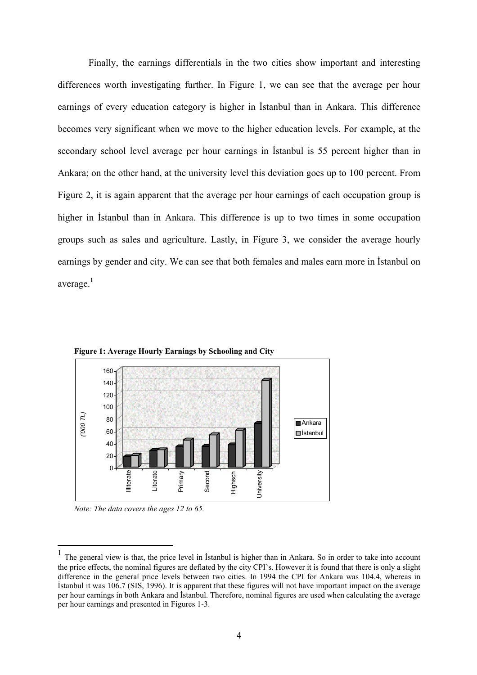Finally, the earnings differentials in the two cities show important and interesting differences worth investigating further. In Figure 1, we can see that the average per hour earnings of every education category is higher in İstanbul than in Ankara. This difference becomes very significant when we move to the higher education levels. For example, at the secondary school level average per hour earnings in İstanbul is 55 percent higher than in Ankara; on the other hand, at the university level this deviation goes up to 100 percent. From Figure 2, it is again apparent that the average per hour earnings of each occupation group is higher in İstanbul than in Ankara. This difference is up to two times in some occupation groups such as sales and agriculture. Lastly, in Figure 3, we consider the average hourly earnings by gender and city. We can see that both females and males earn more in İstanbul on average. $<sup>1</sup>$ </sup>



 **Figure 1: Average Hourly Earnings by Schooling and City** 

 *Note: The data covers the ages 12 to 65.* 

<span id="page-3-0"></span><sup>1</sup> The general view is that, the price level in <sup>İ</sup>stanbul is higher than in Ankara. So in order to take into account the price effects, the nominal figures are deflated by the city CPI's. However it is found that there is only a slight difference in the general price levels between two cities. In 1994 the CPI for Ankara was 104.4, whereas in İstanbul it was 106.7 (SIS, 1996). It is apparent that these figures will not have important impact on the average per hour earnings in both Ankara and İstanbul. Therefore, nominal figures are used when calculating the average per hour earnings and presented in Figures 1-3.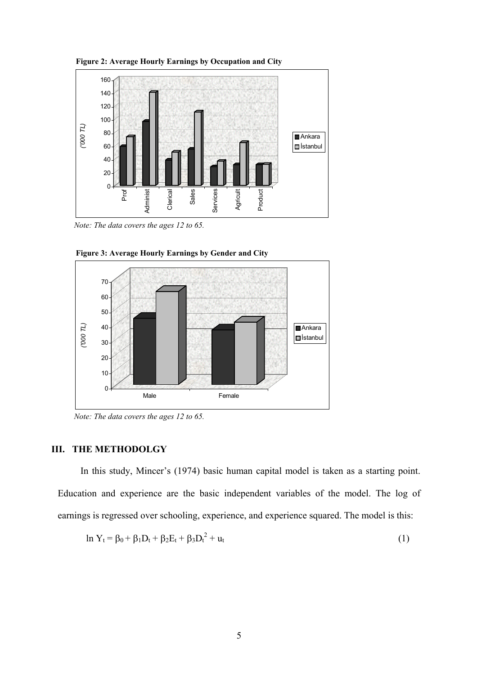

 **Figure 2: Average Hourly Earnings by Occupation and City** 

 *Note: The data covers the ages 12 to 65.* 



 **Figure 3: Average Hourly Earnings by Gender and City**

 *Note: The data covers the ages 12 to 65.* 

### **III. THE METHODOLGY**

In this study, Mincer's (1974) basic human capital model is taken as a starting point. Education and experience are the basic independent variables of the model. The log of earnings is regressed over schooling, experience, and experience squared. The model is this:

$$
\ln Y_t = \beta_0 + \beta_1 D_t + \beta_2 E_t + \beta_3 D_t^2 + u_t \tag{1}
$$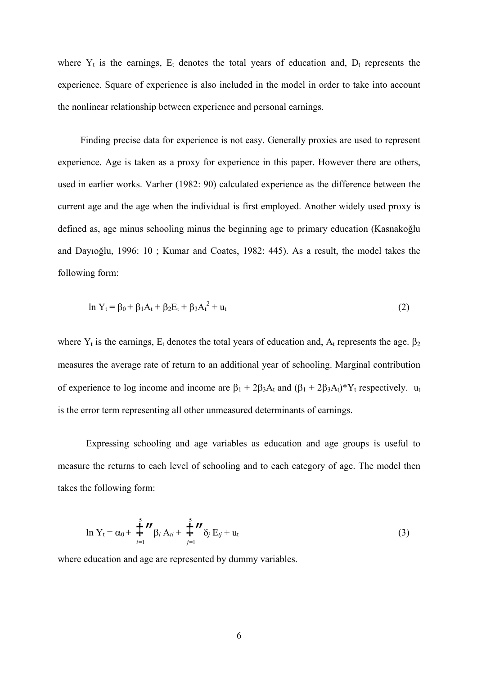where  $Y_t$  is the earnings,  $E_t$  denotes the total years of education and,  $D_t$  represents the experience. Square of experience is also included in the model in order to take into account the nonlinear relationship between experience and personal earnings.

Finding precise data for experience is not easy. Generally proxies are used to represent experience. Age is taken as a proxy for experience in this paper. However there are others, used in earlier works. Varlıer (1982: 90) calculated experience as the difference between the current age and the age when the individual is first employed. Another widely used proxy is defined as, age minus schooling minus the beginning age to primary education (Kasnakoğlu and Dayıoğlu, 1996: 10 ; Kumar and Coates, 1982: 445). As a result, the model takes the following form:

$$
\ln Y_t = \beta_0 + \beta_1 A_t + \beta_2 E_t + \beta_3 A_t^2 + u_t \tag{2}
$$

where  $Y_t$  is the earnings,  $E_t$  denotes the total years of education and,  $A_t$  represents the age.  $\beta_2$ measures the average rate of return to an additional year of schooling. Marginal contribution of experience to log income and income are  $\beta_1 + 2\beta_3A_t$  and  $(\beta_1 + 2\beta_3A_t)^*Y_t$  respectively.  $u_t$ is the error term representing all other unmeasured determinants of earnings.

Expressing schooling and age variables as education and age groups is useful to measure the returns to each level of schooling and to each category of age. The model then takes the following form:

$$
\ln Y_{t} = \alpha_{0} + \sum_{i=1}^{5} \mathbf{''} \beta_{i} A_{ti} + \sum_{j=1}^{5} \mathbf{''} \delta_{j} E_{tj} + u_{t}
$$
 (3)

where education and age are represented by dummy variables.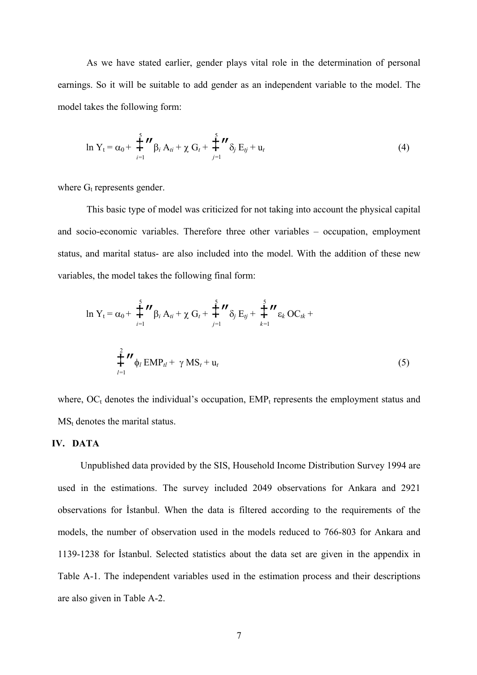As we have stated earlier, gender plays vital role in the determination of personal earnings. So it will be suitable to add gender as an independent variable to the model. The model takes the following form:

$$
\ln Y_{t} = \alpha_{0} + \sum_{i=1}^{5} \mathbf{''} \beta_{i} A_{ti} + \chi G_{t} + \sum_{j=1}^{5} \mathbf{''} \delta_{j} E_{tj} + u_{t}
$$
\n(4)

where  $G_t$  represents gender.

This basic type of model was criticized for not taking into account the physical capital and socio-economic variables. Therefore three other variables – occupation, employment status, and marital status- are also included into the model. With the addition of these new variables, the model takes the following final form:

$$
\ln Y_{t} = \alpha_{0} + \sum_{i=1}^{5} \mathbf{''} \beta_{i} A_{ti} + \chi G_{t} + \sum_{j=1}^{5} \mathbf{''} \delta_{j} E_{tj} + \sum_{k=1}^{5} \mathbf{''} \epsilon_{k} O C_{tk} + \sum_{l=1}^{2} \mathbf{''} \phi_{l} E M P_{tl} + \gamma M S_{t} + u_{t}
$$
\n(5)

where,  $OC<sub>t</sub>$  denotes the individual's occupation,  $EMP<sub>t</sub>$  represents the employment status and  $MS_t$  denotes the marital status.

#### **IV. DATA**

Unpublished data provided by the SIS, Household Income Distribution Survey 1994 are used in the estimations. The survey included 2049 observations for Ankara and 2921 observations for İstanbul. When the data is filtered according to the requirements of the models, the number of observation used in the models reduced to 766-803 for Ankara and 1139-1238 for İstanbul. Selected statistics about the data set are given in the appendix in Table A-1. The independent variables used in the estimation process and their descriptions are also given in Table A-2.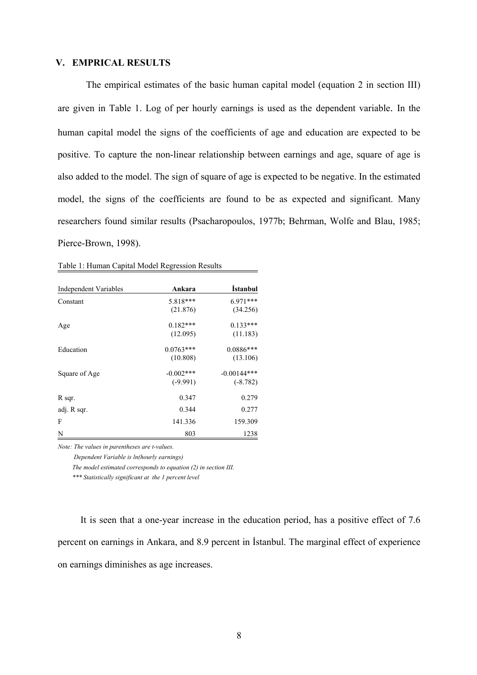#### **V. EMPRICAL RESULTS**

The empirical estimates of the basic human capital model (equation 2 in section III) are given in Table 1. Log of per hourly earnings is used as the dependent variable. In the human capital model the signs of the coefficients of age and education are expected to be positive. To capture the non-linear relationship between earnings and age, square of age is also added to the model. The sign of square of age is expected to be negative. In the estimated model, the signs of the coefficients are found to be as expected and significant. Many researchers found similar results (Psacharopoulos, 1977b; Behrman, Wolfe and Blau, 1985; Pierce-Brown, 1998).

| <b>Independent Variables</b> | Ankara       | <i>istanbul</i> |
|------------------------------|--------------|-----------------|
| Constant                     | 5.818***     | $6.971***$      |
|                              | (21.876)     | (34.256)        |
| Age                          | $0.182***$   | $0.133***$      |
|                              | (12.095)     | (11.183)        |
| Education                    | $0.0763***$  | $0.0886***$     |
|                              | (10.808)     | (13.106)        |
| Square of Age                | $-0.002$ *** | $-0.00144***$   |
|                              | $(-9.991)$   | $(-8.782)$      |
| R sqr.                       | 0.347        | 0.279           |
| adj. R sqr.                  | 0.344        | 0.277           |
| F                            | 141.336      | 159.309         |
| N                            | 803          | 1238            |

|  | Table 1: Human Capital Model Regression Results |
|--|-------------------------------------------------|
|  |                                                 |

*Note: The values in parentheses are t-values.* 

 *Dependent Variable is ln(hourly earnings)*

 *The model estimated corresponds to equation (2) in section III.* 

 *\*\*\* Statistically significant at the 1 percent level* 

It is seen that a one-year increase in the education period, has a positive effect of 7.6 percent on earnings in Ankara, and 8.9 percent in İstanbul. The marginal effect of experience on earnings diminishes as age increases.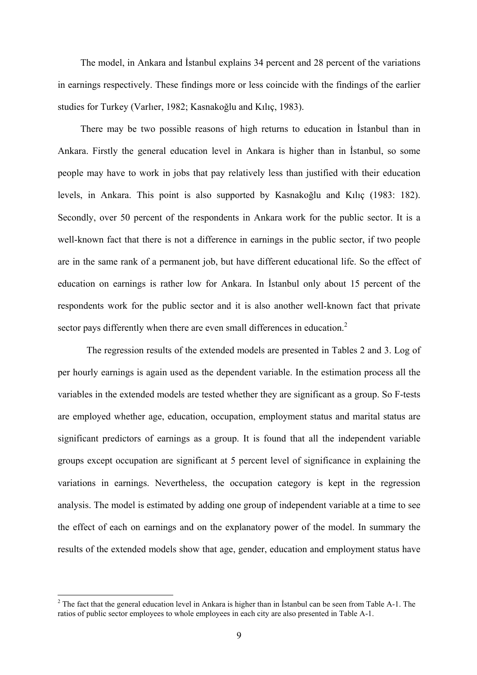The model, in Ankara and İstanbul explains 34 percent and 28 percent of the variations in earnings respectively. These findings more or less coincide with the findings of the earlier studies for Turkey (Varlıer, 1982; Kasnakoğlu and Kılıç, 1983).

There may be two possible reasons of high returns to education in İstanbul than in Ankara. Firstly the general education level in Ankara is higher than in İstanbul, so some people may have to work in jobs that pay relatively less than justified with their education levels, in Ankara. This point is also supported by Kasnakoğlu and Kılıç (1983: 182). Secondly, over 50 percent of the respondents in Ankara work for the public sector. It is a well-known fact that there is not a difference in earnings in the public sector, if two people are in the same rank of a permanent job, but have different educational life. So the effect of education on earnings is rather low for Ankara. In İstanbul only about 15 percent of the respondents work for the public sector and it is also another well-known fact that private sector pays differently when there are even small differences in education.<sup>[2](#page-8-0)</sup>

The regression results of the extended models are presented in Tables 2 and 3. Log of per hourly earnings is again used as the dependent variable. In the estimation process all the variables in the extended models are tested whether they are significant as a group. So F-tests are employed whether age, education, occupation, employment status and marital status are significant predictors of earnings as a group. It is found that all the independent variable groups except occupation are significant at 5 percent level of significance in explaining the variations in earnings. Nevertheless, the occupation category is kept in the regression analysis. The model is estimated by adding one group of independent variable at a time to see the effect of each on earnings and on the explanatory power of the model. In summary the results of the extended models show that age, gender, education and employment status have

<span id="page-8-0"></span> $2^2$  The fact that the general education level in Ankara is higher than in Istanbul can be seen from Table A-1. The ratios of public sector employees to whole employees in each city are also presented in Table A-1.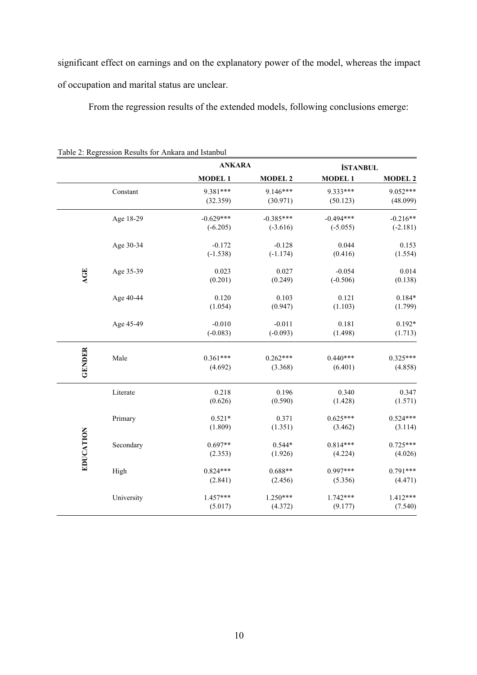significant effect on earnings and on the explanatory power of the model, whereas the impact of occupation and marital status are unclear.

From the regression results of the extended models, following conclusions emerge:

|               |            | <b>ANKARA</b> |                | <b>İSTANBUL</b> |                |
|---------------|------------|---------------|----------------|-----------------|----------------|
|               |            | <b>MODEL1</b> | <b>MODEL 2</b> | <b>MODEL1</b>   | <b>MODEL 2</b> |
|               | Constant   | 9.381***      | 9.146***       | 9.333***        | 9.052***       |
|               |            | (32.359)      | (30.971)       | (50.123)        | (48.099)       |
|               | Age 18-29  | $-0.629***$   | $-0.385***$    | $-0.494***$     | $-0.216**$     |
|               |            | $(-6.205)$    | $(-3.616)$     | $(-5.055)$      | $(-2.181)$     |
|               | Age 30-34  | $-0.172$      | $-0.128$       | 0.044           | 0.153          |
|               |            | $(-1.538)$    | $(-1.174)$     | (0.416)         | (1.554)        |
| <b>AGE</b>    | Age 35-39  | 0.023         | 0.027          | $-0.054$        | 0.014          |
|               |            | (0.201)       | (0.249)        | $(-0.506)$      | (0.138)        |
|               | Age 40-44  | 0.120         | 0.103          | 0.121           | $0.184*$       |
|               |            | (1.054)       | (0.947)        | (1.103)         | (1.799)        |
|               | Age 45-49  | $-0.010$      | $-0.011$       | 0.181           | $0.192*$       |
|               |            | $(-0.083)$    | $(-0.093)$     | (1.498)         | (1.713)        |
|               |            |               |                |                 |                |
|               | Male       | $0.361***$    | $0.262***$     | $0.440***$      | $0.325***$     |
| <b>GENDER</b> |            | (4.692)       | (3.368)        | (6.401)         | (4.858)        |
|               | Literate   | 0.218         | 0.196          | 0.340           | 0.347          |
|               |            | (0.626)       | (0.590)        | (1.428)         | (1.571)        |
|               | Primary    | $0.521*$      | 0.371          | $0.625***$      | $0.524***$     |
|               |            | (1.809)       | (1.351)        | (3.462)         | (3.114)        |
| EDUCATION     | Secondary  | $0.697**$     | $0.544*$       | $0.814***$      | $0.725***$     |
|               |            | (2.353)       | (1.926)        | (4.224)         | (4.026)        |
|               | High       | $0.824***$    | $0.688**$      | $0.997***$      | $0.791***$     |
|               |            | (2.841)       | (2.456)        | (5.356)         | (4.471)        |
|               | University | 1.457***      | $1.250***$     | $1.742***$      | $1.412***$     |
|               |            | (5.017)       | (4.372)        | (9.177)         | (7.540)        |

Table 2: Regression Results for Ankara and Istanbul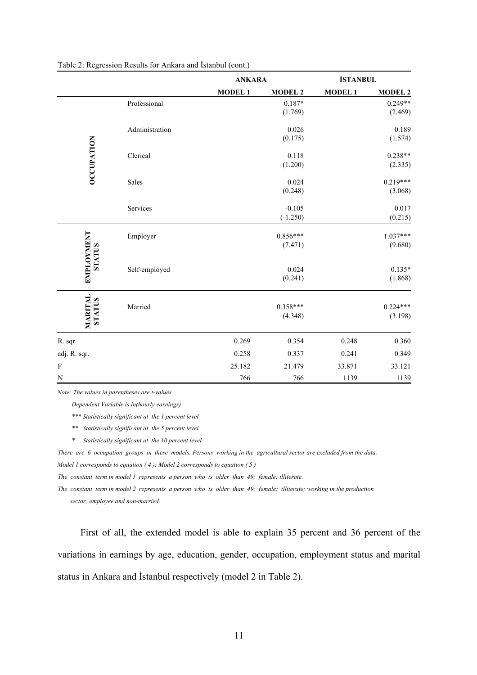|                                    |                |               | <b>ANKARA</b>          |               | <b>İSTANBUL</b>       |
|------------------------------------|----------------|---------------|------------------------|---------------|-----------------------|
|                                    |                | <b>MODEL1</b> | <b>MODEL 2</b>         | <b>MODEL1</b> | <b>MODEL 2</b>        |
|                                    | Professional   |               | $0.187*$<br>(1.769)    |               | $0.249**$<br>(2.469)  |
|                                    | Administration |               | 0.026<br>(0.175)       |               | 0.189<br>(1.574)      |
| <b>OCCUPATION</b>                  | Clerical       |               | 0.118<br>(1.200)       |               | $0.238**$<br>(2.335)  |
|                                    | Sales          |               | 0.024<br>(0.248)       |               | $0.219***$<br>(3.068) |
|                                    | Services       |               | $-0.105$<br>$(-1.250)$ |               | 0.017<br>(0.215)      |
|                                    | Employer       |               | $0.856***$<br>(7.471)  |               | $1.037***$<br>(9.680) |
| <b>EMPLOYMENT</b><br><b>STATUS</b> | Self-employed  |               | 0.024<br>(0.241)       |               | $0.135*$<br>(1.868)   |
| <b>MARITAL</b><br><b>STATUS</b>    | Married        |               | $0.358***$<br>(4.348)  |               | $0.224***$<br>(3.198) |
| R. sqr.                            |                | 0.269         | 0.354                  | 0.248         | 0.360                 |
| adj. R. sqr.                       |                | 0.258         | 0.337                  | 0.241         | 0.349                 |
| $\mathbf F$                        |                | 25.182        | 21.479                 | 33.871        | 33.121                |
| N                                  |                | 766           | 766                    | 1139          | 1139                  |

#### Table 2: Regression Results for Ankara and İstanbul (cont.)

*Note: The values in parentheses are t-values.* 

 *Dependent Variable is ln(hourly earnings)*

 *\*\*\* Statistically significant at the 1 percent level* 

- *\*\* Statistically significant at the 5 percent level*
- *\* Statistically significant at the 10 percent level*

*There are 6 occupation groups in these models. Persons working in the agricultural sector are excluded from the data. Model 1 corresponds to equation ( 4 ); Model 2 corresponds to equation ( 5 )*

*The constant term in model 1 represents a person who is older than 49; female; illiterate.* 

*The constant term in model 2 represents a person who is older than 49; female; illiterate; working in the production sector; employee and non-married.* 

First of all, the extended model is able to explain 35 percent and 36 percent of the variations in earnings by age, education, gender, occupation, employment status and marital status in Ankara and İstanbul respectively (model 2 in Table 2).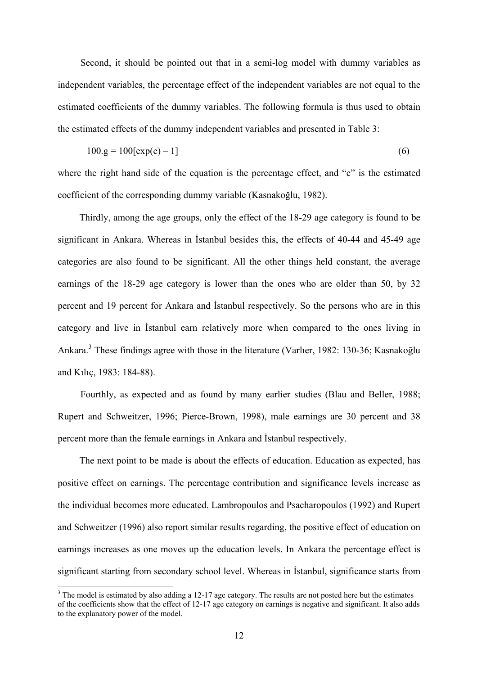Second, it should be pointed out that in a semi-log model with dummy variables as independent variables, the percentage effect of the independent variables are not equal to the estimated coefficients of the dummy variables. The following formula is thus used to obtain the estimated effects of the dummy independent variables and presented in Table 3:

$$
100 \text{.g} = 100 \text{[exp(c) - 1]}
$$
 (6)

where the right hand side of the equation is the percentage effect, and "c" is the estimated coefficient of the corresponding dummy variable (Kasnakoğlu, 1982).

Thirdly, among the age groups, only the effect of the 18-29 age category is found to be significant in Ankara. Whereas in İstanbul besides this, the effects of 40-44 and 45-49 age categories are also found to be significant. All the other things held constant, the average earnings of the 18-29 age category is lower than the ones who are older than 50, by 32 percent and 19 percent for Ankara and İstanbul respectively. So the persons who are in this category and live in İstanbul earn relatively more when compared to the ones living in Ankara.<sup>[3](#page-11-0)</sup> These findings agree with those in the literature (Varlier, 1982: 130-36; Kasnakoğlu and Kılıç, 1983: 184-88).

Fourthly, as expected and as found by many earlier studies (Blau and Beller, 1988; Rupert and Schweitzer, 1996; Pierce-Brown, 1998), male earnings are 30 percent and 38 percent more than the female earnings in Ankara and İstanbul respectively.

The next point to be made is about the effects of education. Education as expected, has positive effect on earnings. The percentage contribution and significance levels increase as the individual becomes more educated. Lambropoulos and Psacharopoulos (1992) and Rupert and Schweitzer (1996) also report similar results regarding, the positive effect of education on earnings increases as one moves up the education levels. In Ankara the percentage effect is significant starting from secondary school level. Whereas in İstanbul, significance starts from

<span id="page-11-0"></span> $3$  The model is estimated by also adding a 12-17 age category. The results are not posted here but the estimates of the coefficients show that the effect of 12-17 age category on earnings is negative and significant. It also adds to the explanatory power of the model.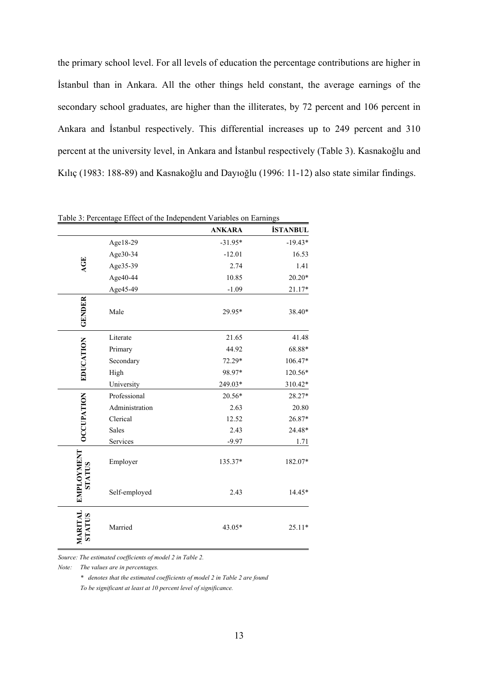the primary school level. For all levels of education the percentage contributions are higher in İstanbul than in Ankara. All the other things held constant, the average earnings of the secondary school graduates, are higher than the illiterates, by 72 percent and 106 percent in Ankara and İstanbul respectively. This differential increases up to 249 percent and 310 percent at the university level, in Ankara and İstanbul respectively (Table 3). Kasnakoğlu and Kılıç (1983: 188-89) and Kasnakoğlu and Dayıoğlu (1996: 11-12) also state similar findings.

|                                    | Table 3: Percentage Effect of the Independent Variables on Earnings |               |                 |
|------------------------------------|---------------------------------------------------------------------|---------------|-----------------|
|                                    |                                                                     | <b>ANKARA</b> | <b>İSTANBUL</b> |
|                                    | Age18-29                                                            | $-31.95*$     | $-19.43*$       |
|                                    | Age30-34                                                            | $-12.01$      | 16.53           |
| AGE                                | Age35-39                                                            | 2.74          | 1.41            |
|                                    | Age40-44                                                            | 10.85         | $20.20*$        |
|                                    | Age45-49                                                            | $-1.09$       | $21.17*$        |
| <b>GENDER</b>                      | Male                                                                | 29.95*        | 38.40*          |
|                                    | Literate                                                            | 21.65         | 41.48           |
|                                    | Primary                                                             | 44.92         | 68.88*          |
|                                    | Secondary                                                           | 72.29*        | 106.47*         |
| EDUCATION                          | High                                                                | 98.97*        | 120.56*         |
|                                    | University                                                          | 249.03*       | 310.42*         |
|                                    | Professional                                                        | 20.56*        | 28.27*          |
|                                    | Administration                                                      | 2.63          | 20.80           |
| <b>OCCUPATION</b>                  | Clerical                                                            | 12.52         | 26.87*          |
|                                    | <b>Sales</b>                                                        | 2.43          | 24.48*          |
|                                    | Services                                                            | $-9.97$       | 1.71            |
| <b>EMPLOYMENT</b><br><b>STATUS</b> | Employer                                                            | 135.37*       | 182.07*         |
|                                    | Self-employed                                                       | 2.43          | 14.45*          |
| MARITAL<br>STATUS                  | Married                                                             | 43.05*        | 25.11*          |

*Source: The estimated coefficients of model 2 in Table 2.* 

*Note: The values are in percentages.*

 *\* denotes that the estimated coefficients of model 2 in Table 2 are found* 

 *To be significant at least at 10 percent level of significance.*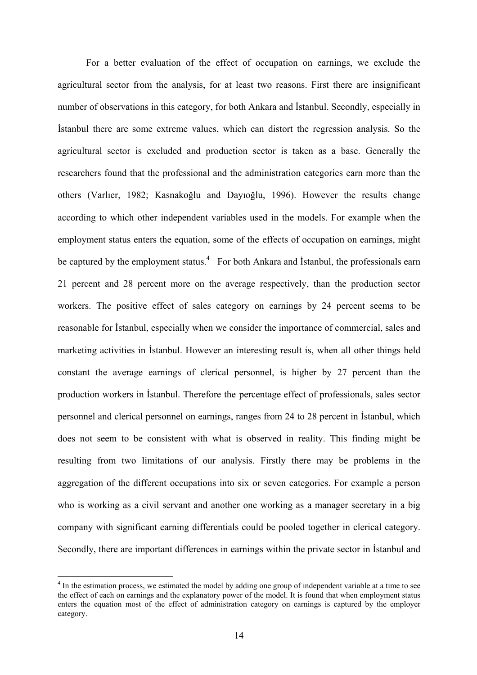For a better evaluation of the effect of occupation on earnings, we exclude the agricultural sector from the analysis, for at least two reasons. First there are insignificant number of observations in this category, for both Ankara and İstanbul. Secondly, especially in İstanbul there are some extreme values, which can distort the regression analysis. So the agricultural sector is excluded and production sector is taken as a base. Generally the researchers found that the professional and the administration categories earn more than the others (Varlıer, 1982; Kasnakoğlu and Dayıoğlu, 1996). However the results change according to which other independent variables used in the models. For example when the employment status enters the equation, some of the effects of occupation on earnings, might be captured by the employment status.<sup>[4](#page-13-0)</sup> For both Ankara and Istanbul, the professionals earn 21 percent and 28 percent more on the average respectively, than the production sector workers. The positive effect of sales category on earnings by 24 percent seems to be reasonable for İstanbul, especially when we consider the importance of commercial, sales and marketing activities in İstanbul. However an interesting result is, when all other things held constant the average earnings of clerical personnel, is higher by 27 percent than the production workers in İstanbul. Therefore the percentage effect of professionals, sales sector personnel and clerical personnel on earnings, ranges from 24 to 28 percent in İstanbul, which does not seem to be consistent with what is observed in reality. This finding might be resulting from two limitations of our analysis. Firstly there may be problems in the aggregation of the different occupations into six or seven categories. For example a person who is working as a civil servant and another one working as a manager secretary in a big company with significant earning differentials could be pooled together in clerical category. Secondly, there are important differences in earnings within the private sector in İstanbul and

<span id="page-13-0"></span><sup>&</sup>lt;sup>4</sup> In the estimation process, we estimated the model by adding one group of independent variable at a time to see the effect of each on earnings and the explanatory power of the model. It is found that when employment status enters the equation most of the effect of administration category on earnings is captured by the employer category.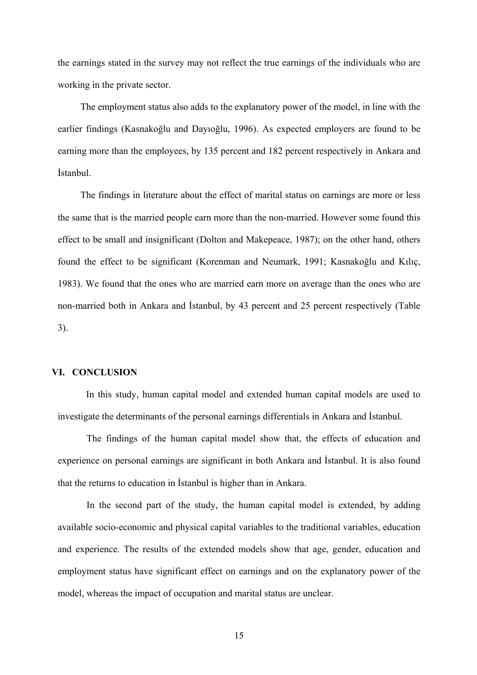the earnings stated in the survey may not reflect the true earnings of the individuals who are working in the private sector.

The employment status also adds to the explanatory power of the model, in line with the earlier findings (Kasnakoğlu and Dayıoğlu, 1996). As expected employers are found to be earning more than the employees, by 135 percent and 182 percent respectively in Ankara and İstanbul.

The findings in literature about the effect of marital status on earnings are more or less the same that is the married people earn more than the non-married. However some found this effect to be small and insignificant (Dolton and Makepeace, 1987); on the other hand, others found the effect to be significant (Korenman and Neumark, 1991; Kasnakoğlu and Kılıç, 1983). We found that the ones who are married earn more on average than the ones who are non-married both in Ankara and İstanbul, by 43 percent and 25 percent respectively (Table 3).

#### **VI. CONCLUSION**

In this study, human capital model and extended human capital models are used to investigate the determinants of the personal earnings differentials in Ankara and İstanbul.

The findings of the human capital model show that, the effects of education and experience on personal earnings are significant in both Ankara and İstanbul. It is also found that the returns to education in İstanbul is higher than in Ankara.

In the second part of the study, the human capital model is extended, by adding available socio-economic and physical capital variables to the traditional variables, education and experience. The results of the extended models show that age, gender, education and employment status have significant effect on earnings and on the explanatory power of the model, whereas the impact of occupation and marital status are unclear.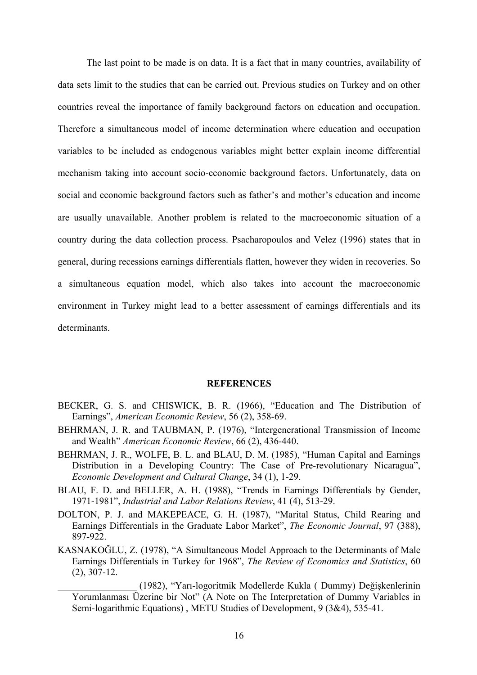The last point to be made is on data. It is a fact that in many countries, availability of data sets limit to the studies that can be carried out. Previous studies on Turkey and on other countries reveal the importance of family background factors on education and occupation. Therefore a simultaneous model of income determination where education and occupation variables to be included as endogenous variables might better explain income differential mechanism taking into account socio-economic background factors. Unfortunately, data on social and economic background factors such as father's and mother's education and income are usually unavailable. Another problem is related to the macroeconomic situation of a country during the data collection process. Psacharopoulos and Velez (1996) states that in general, during recessions earnings differentials flatten, however they widen in recoveries. So a simultaneous equation model, which also takes into account the macroeconomic environment in Turkey might lead to a better assessment of earnings differentials and its determinants.

#### **REFERENCES**

- BECKER, G. S. and CHISWICK, B. R. (1966), "Education and The Distribution of Earnings", *American Economic Review*, 56 (2), 358-69.
- BEHRMAN, J. R. and TAUBMAN, P. (1976), "Intergenerational Transmission of Income and Wealth" *American Economic Review*, 66 (2), 436-440.
- BEHRMAN, J. R., WOLFE, B. L. and BLAU, D. M. (1985), "Human Capital and Earnings Distribution in a Developing Country: The Case of Pre-revolutionary Nicaragua", *Economic Development and Cultural Change*, 34 (1), 1-29.
- BLAU, F. D. and BELLER, A. H. (1988), "Trends in Earnings Differentials by Gender, 1971-1981", *Industrial and Labor Relations Review*, 41 (4), 513-29.
- DOLTON, P. J. and MAKEPEACE, G. H. (1987), "Marital Status, Child Rearing and Earnings Differentials in the Graduate Labor Market", *The Economic Journal*, 97 (388), 897-922.
- KASNAKOĞLU, Z. (1978), "A Simultaneous Model Approach to the Determinants of Male Earnings Differentials in Turkey for 1968", *The Review of Economics and Statistics*, 60 (2), 307-12.

 <sup>(1982), &</sup>quot;Yarı-logoritmik Modellerde Kukla ( Dummy) Değişkenlerinin Yorumlanması Üzerine bir Not" (A Note on The Interpretation of Dummy Variables in Semi-logarithmic Equations) , METU Studies of Development, 9 (3&4), 535-41.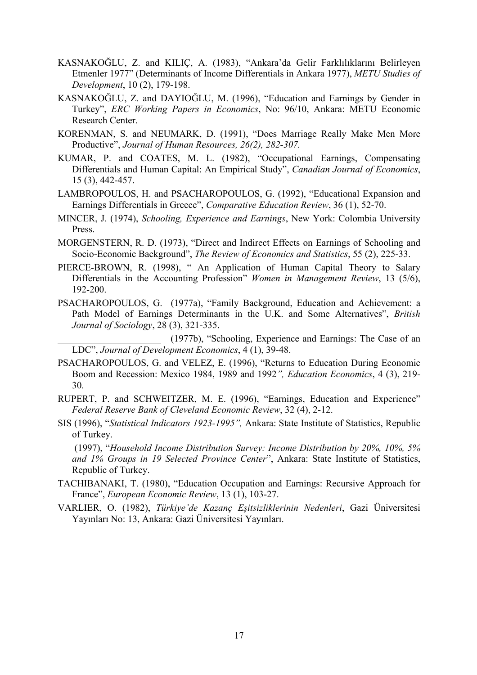- KASNAKOĞLU, Z. and KILIÇ, A. (1983), "Ankara'da Gelir Farklılıklarını Belirleyen Etmenler 1977" (Determinants of Income Differentials in Ankara 1977), *METU Studies of Development*, 10 (2), 179-198.
- KASNAKOĞLU, Z. and DAYIOĞLU, M. (1996), "Education and Earnings by Gender in Turkey", *ERC Working Papers in Economics*, No: 96/10, Ankara: METU Economic Research Center.
- KORENMAN, S. and NEUMARK, D. (1991), "Does Marriage Really Make Men More Productive", *Journal of Human Resources, 26(2), 282-307.*
- KUMAR, P. and COATES, M. L. (1982), "Occupational Earnings, Compensating Differentials and Human Capital: An Empirical Study", *Canadian Journal of Economics*, 15 (3), 442-457.
- LAMBROPOULOS, H. and PSACHAROPOULOS, G. (1992), "Educational Expansion and Earnings Differentials in Greece", *Comparative Education Review*, 36 (1), 52-70.
- MINCER, J. (1974), *Schooling, Experience and Earnings*, New York: Colombia University Press.
- MORGENSTERN, R. D. (1973), "Direct and Indirect Effects on Earnings of Schooling and Socio-Economic Background", *The Review of Economics and Statistics*, 55 (2), 225-33.
- PIERCE-BROWN, R. (1998), " An Application of Human Capital Theory to Salary Differentials in the Accounting Profession" *Women in Management Review*, 13 (5/6), 192-200.
- PSACHAROPOULOS, G. (1977a), "Family Background, Education and Achievement: a Path Model of Earnings Determinants in the U.K. and Some Alternatives", *British Journal of Sociology*, 28 (3), 321-335.

 (1977b), "Schooling, Experience and Earnings: The Case of an LDC", *Journal of Development Economics*, 4 (1), 39-48.

- PSACHAROPOULOS, G. and VELEZ, E. (1996), "Returns to Education During Economic Boom and Recession: Mexico 1984, 1989 and 1992*", Education Economics*, 4 (3), 219- 30.
- RUPERT, P. and SCHWEITZER, M. E. (1996), "Earnings, Education and Experience" *Federal Reserve Bank of Cleveland Economic Review*, 32 (4), 2-12.
- SIS (1996), "*Statistical Indicators 1923-1995",* Ankara: State Institute of Statistics, Republic of Turkey.
- (1997), "*Household Income Distribution Survey: Income Distribution by 20%, 10%, 5% and 1% Groups in 19 Selected Province Center*", Ankara: State Institute of Statistics, Republic of Turkey.
- TACHIBANAKI, T. (1980), "Education Occupation and Earnings: Recursive Approach for France", *European Economic Review*, 13 (1), 103-27.
- VARLIER, O. (1982), *Türkiye'de Kazanç Eşitsizliklerinin Nedenleri*, Gazi Üniversitesi Yayınları No: 13, Ankara: Gazi Üniversitesi Yayınları.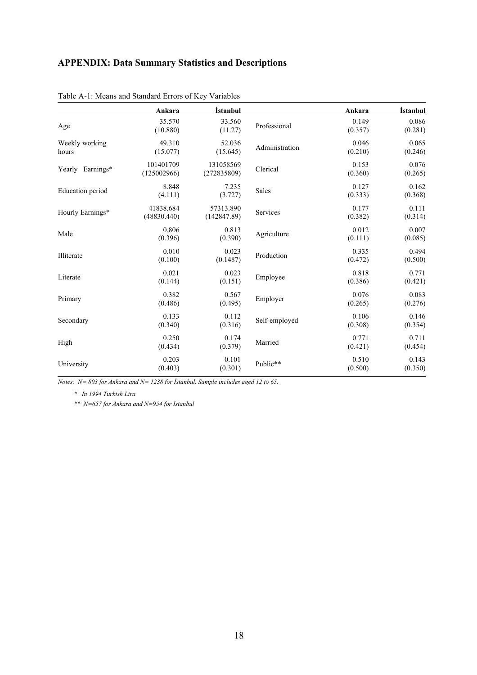# **APPENDIX: Data Summary Statistics and Descriptions**

|                         | Ankara                   | <i>istanbul</i>          |                | Ankara           | İstanbul         |
|-------------------------|--------------------------|--------------------------|----------------|------------------|------------------|
| Age                     | 35.570<br>(10.880)       | 33.560<br>(11.27)        | Professional   | 0.149<br>(0.357) | 0.086<br>(0.281) |
| Weekly working<br>hours | 49.310<br>(15.077)       | 52.036<br>(15.645)       | Administration | 0.046<br>(0.210) | 0.065<br>(0.246) |
| Yearly Earnings*        | 101401709<br>(125002966) | 131058569<br>(272835809) | Clerical       | 0.153<br>(0.360) | 0.076<br>(0.265) |
| <b>Education</b> period | 8.848<br>(4.111)         | 7.235<br>(3.727)         | Sales          | 0.127<br>(0.333) | 0.162<br>(0.368) |
| Hourly Earnings*        | 41838.684<br>(48830.440) | 57313.890<br>(142847.89) | Services       | 0.177<br>(0.382) | 0.111<br>(0.314) |
| Male                    | 0.806<br>(0.396)         | 0.813<br>(0.390)         | Agriculture    | 0.012<br>(0.111) | 0.007<br>(0.085) |
| Illiterate              | 0.010<br>(0.100)         | 0.023<br>(0.1487)        | Production     | 0.335<br>(0.472) | 0.494<br>(0.500) |
| Literate                | 0.021<br>(0.144)         | 0.023<br>(0.151)         | Employee       | 0.818<br>(0.386) | 0.771<br>(0.421) |
| Primary                 | 0.382<br>(0.486)         | 0.567<br>(0.495)         | Employer       | 0.076<br>(0.265) | 0.083<br>(0.276) |
| Secondary               | 0.133<br>(0.340)         | 0.112<br>(0.316)         | Self-employed  | 0.106<br>(0.308) | 0.146<br>(0.354) |
| High                    | 0.250<br>(0.434)         | 0.174<br>(0.379)         | Married        | 0.771<br>(0.421) | 0.711<br>(0.454) |
| University              | 0.203<br>(0.403)         | 0.101<br>(0.301)         | Public**       | 0.510<br>(0.500) | 0.143<br>(0.350) |

| Table A-1: Means and Standard Errors of Key Variables |  |  |  |
|-------------------------------------------------------|--|--|--|
|                                                       |  |  |  |

*Notes: N= 803 for Ankara and N= 1238 for İstanbul. Sample includes aged 12 to 65.* 

 *\* In 1994 Turkish Lira* 

 *\*\* N=657 for Ankara and N=954 for Istanbul*